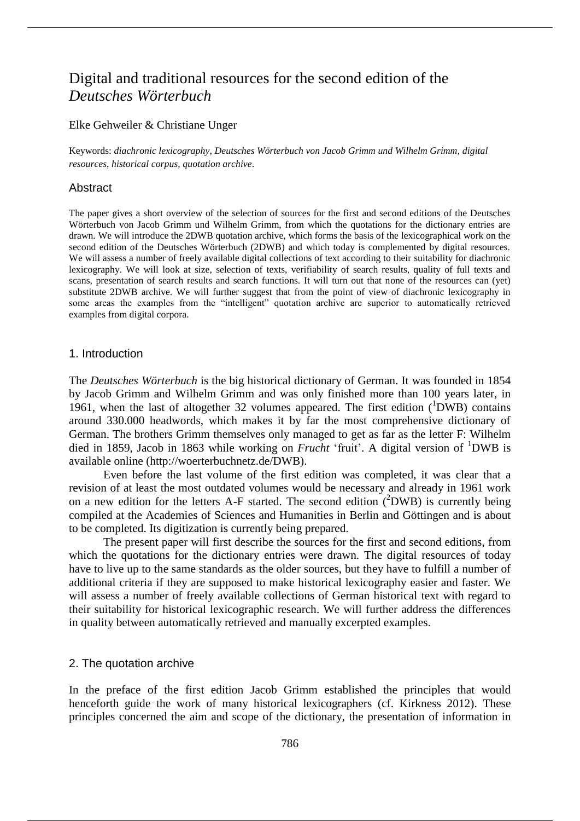# Digital and traditional resources for the second edition of the *Deutsches Wörterbuch*

## Elke Gehweiler & Christiane Unger

Keywords: *diachronic lexicography*, *Deutsches Wörterbuch von Jacob Grimm und Wilhelm Grimm*, *digital resources*, *historical corpus*, *quotation archive*.

# Abstract

The paper gives a short overview of the selection of sources for the first and second editions of the Deutsches Wörterbuch von Jacob Grimm und Wilhelm Grimm, from which the quotations for the dictionary entries are drawn. We will introduce the 2DWB quotation archive, which forms the basis of the lexicographical work on the second edition of the Deutsches Wörterbuch (2DWB) and which today is complemented by digital resources. We will assess a number of freely available digital collections of text according to their suitability for diachronic lexicography. We will look at size, selection of texts, verifiability of search results, quality of full texts and scans, presentation of search results and search functions. It will turn out that none of the resources can (yet) substitute 2DWB archive. We will further suggest that from the point of view of diachronic lexicography in some areas the examples from the "intelligent" quotation archive are superior to automatically retrieved examples from digital corpora.

### 1. Introduction

The *Deutsches Wörterbuch* is the big historical dictionary of German. It was founded in 1854 by Jacob Grimm and Wilhelm Grimm and was only finished more than 100 years later, in 1961, when the last of altogether 32 volumes appeared. The first edition  $(^1DWB)$  contains around 330.000 headwords, which makes it by far the most comprehensive dictionary of German. The brothers Grimm themselves only managed to get as far as the letter F: Wilhelm died in 1859, Jacob in 1863 while working on *Frucht* 'fruit'. A digital version of <sup>1</sup>DWB is available online (http://woerterbuchnetz.de/DWB).

Even before the last volume of the first edition was completed, it was clear that a revision of at least the most outdated volumes would be necessary and already in 1961 work on a new edition for the letters A-F started. The second edition  $(^2$ DWB) is currently being compiled at the Academies of Sciences and Humanities in Berlin and Göttingen and is about to be completed. Its digitization is currently being prepared.

The present paper will first describe the sources for the first and second editions, from which the quotations for the dictionary entries were drawn. The digital resources of today have to live up to the same standards as the older sources, but they have to fulfill a number of additional criteria if they are supposed to make historical lexicography easier and faster. We will assess a number of freely available collections of German historical text with regard to their suitability for historical lexicographic research. We will further address the differences in quality between automatically retrieved and manually excerpted examples.

# 2. The quotation archive

In the preface of the first edition Jacob Grimm established the principles that would henceforth guide the work of many historical lexicographers (cf. Kirkness 2012). These principles concerned the aim and scope of the dictionary, the presentation of information in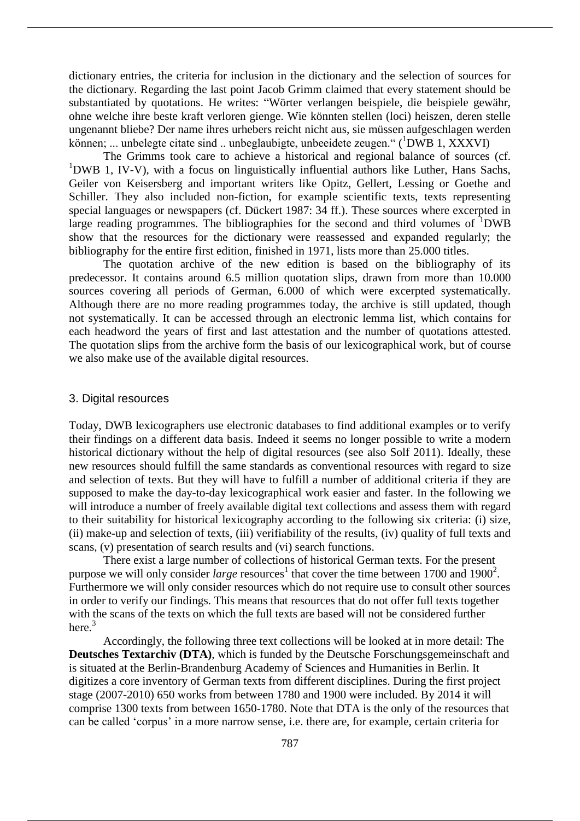dictionary entries, the criteria for inclusion in the dictionary and the selection of sources for the dictionary. Regarding the last point Jacob Grimm claimed that every statement should be substantiated by quotations. He writes: "Wörter verlangen beispiele, die beispiele gewähr, ohne welche ihre beste kraft verloren gienge. Wie könnten stellen (loci) heiszen, deren stelle ungenannt bliebe? Der name ihres urhebers reicht nicht aus, sie müssen aufgeschlagen werden können; ... unbelegte citate sind .. unbeglaubigte, unbeeidete zeugen." (<sup>1</sup>DWB 1, XXXVI)

The Grimms took care to achieve a historical and regional balance of sources (cf.  $1$ DWB 1, IV-V), with a focus on linguistically influential authors like Luther, Hans Sachs, Geiler von Keisersberg and important writers like Opitz, Gellert, Lessing or Goethe and Schiller. They also included non-fiction, for example scientific texts, texts representing special languages or newspapers (cf. Dückert 1987: 34 ff.). These sources where excerpted in large reading programmes. The bibliographies for the second and third volumes of  $1DWB$ show that the resources for the dictionary were reassessed and expanded regularly; the bibliography for the entire first edition, finished in 1971, lists more than 25.000 titles.

The quotation archive of the new edition is based on the bibliography of its predecessor. It contains around 6.5 million quotation slips, drawn from more than 10.000 sources covering all periods of German, 6.000 of which were excerpted systematically. Although there are no more reading programmes today, the archive is still updated, though not systematically. It can be accessed through an electronic lemma list, which contains for each headword the years of first and last attestation and the number of quotations attested. The quotation slips from the archive form the basis of our lexicographical work, but of course we also make use of the available digital resources.

# 3. Digital resources

Today, DWB lexicographers use electronic databases to find additional examples or to verify their findings on a different data basis. Indeed it seems no longer possible to write a modern historical dictionary without the help of digital resources (see also Solf 2011). Ideally, these new resources should fulfill the same standards as conventional resources with regard to size and selection of texts. But they will have to fulfill a number of additional criteria if they are supposed to make the day-to-day lexicographical work easier and faster. In the following we will introduce a number of freely available digital text collections and assess them with regard to their suitability for historical lexicography according to the following six criteria: (i) size, (ii) make-up and selection of texts, (iii) verifiability of the results, (iv) quality of full texts and scans, (v) presentation of search results and (vi) search functions.

There exist a large number of collections of historical German texts. For the present purpose we will only consider *large* resources<sup>1</sup> that cover the time between 1700 and 1900<sup>2</sup>. Furthermore we will only consider resources which do not require use to consult other sources in order to verify our findings. This means that resources that do not offer full texts together with the scans of the texts on which the full texts are based will not be considered further here. 3

Accordingly, the following three text collections will be looked at in more detail: The **Deutsches Textarchiv (DTA)**, which is funded by the Deutsche Forschungsgemeinschaft and is situated at the Berlin-Brandenburg Academy of Sciences and Humanities in Berlin. It digitizes a core inventory of German texts from different disciplines. During the first project stage (2007-2010) 650 works from between 1780 and 1900 were included. By 2014 it will comprise 1300 texts from between 1650-1780. Note that DTA is the only of the resources that can be called 'corpus' in a more narrow sense, i.e. there are, for example, certain criteria for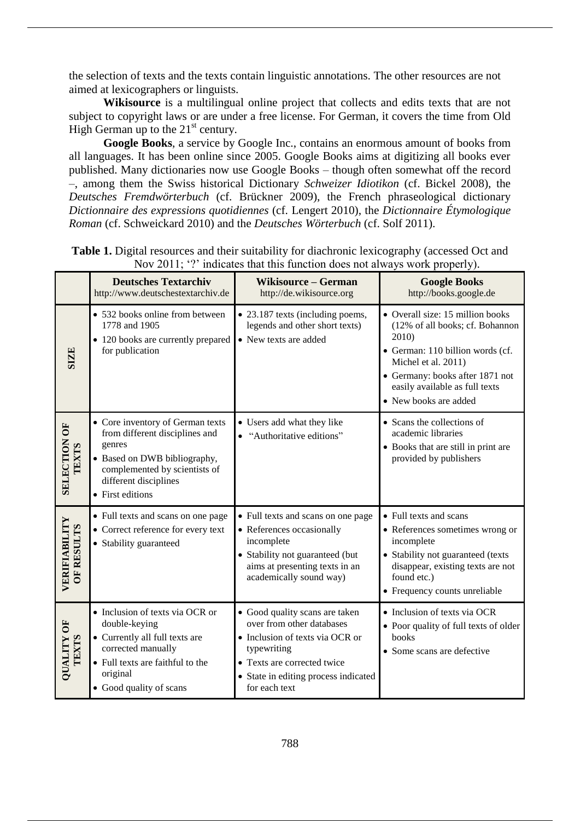the selection of texts and the texts contain linguistic annotations. The other resources are not aimed at lexicographers or linguists.

**Wikisource** is a multilingual online project that collects and edits texts that are not subject to copyright laws or are under a free license. For German, it covers the time from Old High German up to the  $21<sup>st</sup>$  century.

**Google Books**, a service by Google Inc., contains an enormous amount of books from all languages. It has been online since 2005. Google Books aims at digitizing all books ever published. Many dictionaries now use Google Books – though often somewhat off the record –, among them the Swiss historical Dictionary *Schweizer Idiotikon* (cf. Bickel 2008), the *Deutsches Fremdwörterbuch* (cf. Brückner 2009), the French phraseological dictionary *Dictionnaire des expressions quotidiennes* (cf. Lengert 2010), the *Dictionnaire Étymologique Roman* (cf. Schweickard 2010) and the *Deutsches Wörterbuch* (cf. Solf 2011).

|                                     | <b>Deutsches Textarchiv</b><br>http://www.deutschestextarchiv.de                                                                                                                           | <b>Wikisource - German</b><br>http://de.wikisource.org                                                                                                                                                | <b>Google Books</b><br>http://books.google.de                                                                                                                                                                                         |
|-------------------------------------|--------------------------------------------------------------------------------------------------------------------------------------------------------------------------------------------|-------------------------------------------------------------------------------------------------------------------------------------------------------------------------------------------------------|---------------------------------------------------------------------------------------------------------------------------------------------------------------------------------------------------------------------------------------|
| <b>SIZE</b>                         | • 532 books online from between<br>1778 and 1905<br>• 120 books are currently prepared<br>for publication                                                                                  | • 23.187 texts (including poems,<br>legends and other short texts)<br>• New texts are added                                                                                                           | • Overall size: 15 million books<br>(12% of all books; cf. Bohannon<br>2010)<br>• German: 110 billion words (cf.<br>Michel et al. 2011)<br>• Germany: books after 1871 not<br>easily available as full texts<br>• New books are added |
| <b>SELECTION OF</b><br><b>TEXTS</b> | • Core inventory of German texts<br>from different disciplines and<br>genres<br>• Based on DWB bibliography,<br>complemented by scientists of<br>different disciplines<br>• First editions | • Users add what they like<br>"Authoritative editions"                                                                                                                                                | • Scans the collections of<br>academic libraries<br>• Books that are still in print are<br>provided by publishers                                                                                                                     |
| VERIFIABILITY<br><b>OF RESULTS</b>  | • Full texts and scans on one page<br>• Correct reference for every text<br>• Stability guaranteed                                                                                         | • Full texts and scans on one page<br>• References occasionally<br>incomplete<br>• Stability not guaranteed (but<br>aims at presenting texts in an<br>academically sound way)                         | • Full texts and scans<br>• References sometimes wrong or<br>incomplete<br>• Stability not guaranteed (texts<br>disappear, existing texts are not<br>found etc.)<br>• Frequency counts unreliable                                     |
| <b>MOXILITY</b><br><b>TEXTS</b>     | • Inclusion of texts via OCR or<br>double-keying<br>• Currently all full texts are<br>corrected manually<br>• Full texts are faithful to the<br>original<br>• Good quality of scans        | • Good quality scans are taken<br>over from other databases<br>• Inclusion of texts via OCR or<br>typewriting<br>• Texts are corrected twice<br>• State in editing process indicated<br>for each text | • Inclusion of texts via OCR<br>• Poor quality of full texts of older<br>books<br>• Some scans are defective                                                                                                                          |

**Table 1.** Digital resources and their suitability for diachronic lexicography (accessed Oct and Nov 2011; '?' indicates that this function does not always work properly).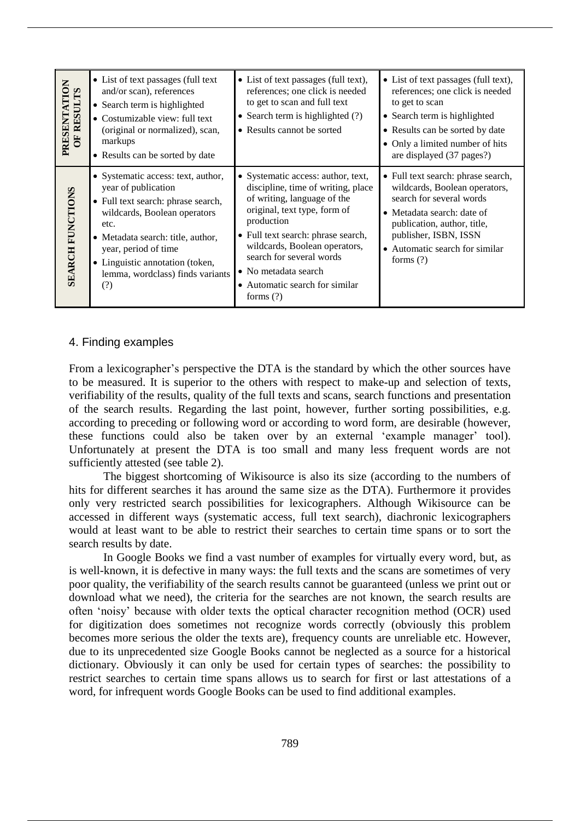| PRESENTATION<br>OF RESULTS | • List of text passages (full text)<br>and/or scan), references<br>• Search term is highlighted<br>• Costumizable view: full text<br>(original or normalized), scan,<br>markups<br>• Results can be sorted by date                                                                 | • List of text passages (full text),<br>references; one click is needed<br>to get to scan and full text<br>• Search term is highlighted $(?)$<br>• Results cannot be sorted                                                                                                                                                       | • List of text passages (full text),<br>references; one click is needed<br>to get to scan<br>• Search term is highlighted<br>• Results can be sorted by date<br>• Only a limited number of hits<br>are displayed (37 pages?)                      |
|----------------------------|------------------------------------------------------------------------------------------------------------------------------------------------------------------------------------------------------------------------------------------------------------------------------------|-----------------------------------------------------------------------------------------------------------------------------------------------------------------------------------------------------------------------------------------------------------------------------------------------------------------------------------|---------------------------------------------------------------------------------------------------------------------------------------------------------------------------------------------------------------------------------------------------|
| <b>SEARCH FUNCTIONS</b>    | • Systematic access: text, author,<br>year of publication<br>• Full text search: phrase search,<br>wildcards, Boolean operators<br>etc.<br>• Metadata search: title, author,<br>year, period of time<br>• Linguistic annotation (token,<br>lemma, wordclass) finds variants<br>(?) | • Systematic access: author, text,<br>discipline, time of writing, place<br>of writing, language of the<br>original, text type, form of<br>production<br>• Full text search: phrase search,<br>wildcards, Boolean operators,<br>search for several words<br>• No metadata search<br>• Automatic search for similar<br>forms $(?)$ | • Full text search: phrase search,<br>wildcards, Boolean operators,<br>search for several words<br>• Metadata search: date of<br>publication, author, title,<br>publisher, ISBN, ISSN<br>Automatic search for similar<br>$\bullet$<br>forms $(?)$ |

# 4. Finding examples

From a lexicographer's perspective the DTA is the standard by which the other sources have to be measured. It is superior to the others with respect to make-up and selection of texts, verifiability of the results, quality of the full texts and scans, search functions and presentation of the search results. Regarding the last point, however, further sorting possibilities, e.g. according to preceding or following word or according to word form, are desirable (however, these functions could also be taken over by an external 'example manager' tool). Unfortunately at present the DTA is too small and many less frequent words are not sufficiently attested (see table 2).

The biggest shortcoming of Wikisource is also its size (according to the numbers of hits for different searches it has around the same size as the DTA). Furthermore it provides only very restricted search possibilities for lexicographers. Although Wikisource can be accessed in different ways (systematic access, full text search), diachronic lexicographers would at least want to be able to restrict their searches to certain time spans or to sort the search results by date.

In Google Books we find a vast number of examples for virtually every word, but, as is well-known, it is defective in many ways: the full texts and the scans are sometimes of very poor quality, the verifiability of the search results cannot be guaranteed (unless we print out or download what we need), the criteria for the searches are not known, the search results are often 'noisy' because with older texts the optical character recognition method (OCR) used for digitization does sometimes not recognize words correctly (obviously this problem becomes more serious the older the texts are), frequency counts are unreliable etc. However, due to its unprecedented size Google Books cannot be neglected as a source for a historical dictionary. Obviously it can only be used for certain types of searches: the possibility to restrict searches to certain time spans allows us to search for first or last attestations of a word, for infrequent words Google Books can be used to find additional examples.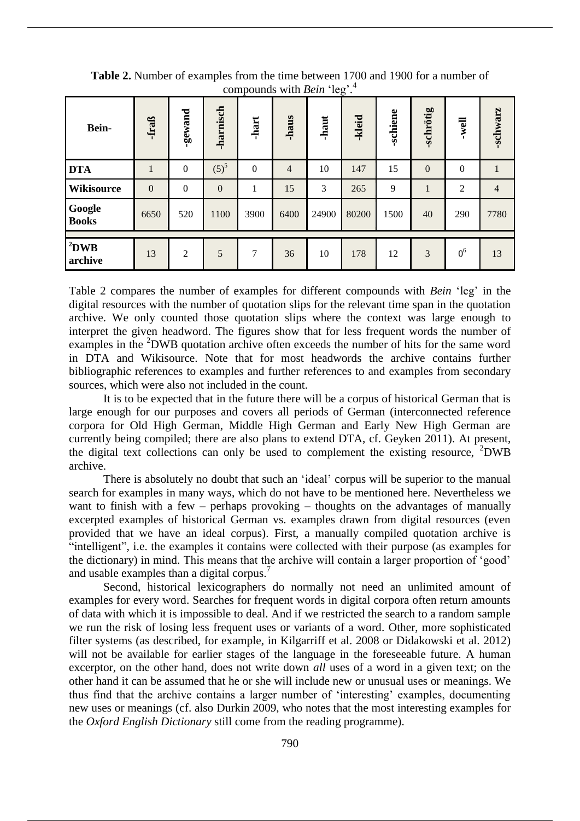| Bein-                  | -fraß        | -gewand        | <b>harnisch</b> | $\frac{1}{2}$<br>-hart | -haus          | $-5$<br>-haut | -kleid | -schiene | -schrötig        | well             | -schwarz       |
|------------------------|--------------|----------------|-----------------|------------------------|----------------|---------------|--------|----------|------------------|------------------|----------------|
| <b>DTA</b>             | $\mathbf{1}$ | $\overline{0}$ | $(5)^{5}$       | $\boldsymbol{0}$       | $\overline{4}$ | 10            | 147    | 15       | $\boldsymbol{0}$ | $\boldsymbol{0}$ |                |
| <b>Wikisource</b>      | $\mathbf{0}$ | $\overline{0}$ | $\mathbf{0}$    |                        | 15             | 3             | 265    | 9        | $\mathbf{I}$     | $\overline{c}$   | $\overline{4}$ |
| Google<br><b>Books</b> | 6650         | 520            | 1100            | 3900                   | 6400           | 24900         | 80200  | 1500     | 40               | 290              | 7780           |
|                        |              |                |                 |                        |                |               |        |          |                  |                  |                |
| $2$ DWB<br>archive     | 13           | $\overline{2}$ | 5               | 7                      | 36             | 10            | 178    | 12       | 3                | 0 <sup>6</sup>   | 13             |

**Table 2.** Number of examples from the time between 1700 and 1900 for a number of compounds with *Bein* 'leg'. 4

Table 2 compares the number of examples for different compounds with *Bein* 'leg' in the digital resources with the number of quotation slips for the relevant time span in the quotation archive. We only counted those quotation slips where the context was large enough to interpret the given headword. The figures show that for less frequent words the number of examples in the <sup>2</sup>DWB quotation archive often exceeds the number of hits for the same word in DTA and Wikisource. Note that for most headwords the archive contains further bibliographic references to examples and further references to and examples from secondary sources, which were also not included in the count.

It is to be expected that in the future there will be a corpus of historical German that is large enough for our purposes and covers all periods of German (interconnected reference corpora for Old High German, Middle High German and Early New High German are currently being compiled; there are also plans to extend DTA, cf. Geyken 2011). At present, the digital text collections can only be used to complement the existing resource,  $2DWB$ archive.

There is absolutely no doubt that such an 'ideal' corpus will be superior to the manual search for examples in many ways, which do not have to be mentioned here. Nevertheless we want to finish with a few – perhaps provoking – thoughts on the advantages of manually excerpted examples of historical German vs. examples drawn from digital resources (even provided that we have an ideal corpus). First, a manually compiled quotation archive is "intelligent", i.e. the examples it contains were collected with their purpose (as examples for the dictionary) in mind. This means that the archive will contain a larger proportion of 'good' and usable examples than a digital corpus.<sup>7</sup>

Second, historical lexicographers do normally not need an unlimited amount of examples for every word. Searches for frequent words in digital corpora often return amounts of data with which it is impossible to deal. And if we restricted the search to a random sample we run the risk of losing less frequent uses or variants of a word. Other, more sophisticated filter systems (as described, for example, in Kilgarriff et al. 2008 or Didakowski et al. 2012) will not be available for earlier stages of the language in the foreseeable future. A human excerptor, on the other hand, does not write down *all* uses of a word in a given text; on the other hand it can be assumed that he or she will include new or unusual uses or meanings. We thus find that the archive contains a larger number of 'interesting' examples, documenting new uses or meanings (cf. also Durkin 2009, who notes that the most interesting examples for the *Oxford English Dictionary* still come from the reading programme).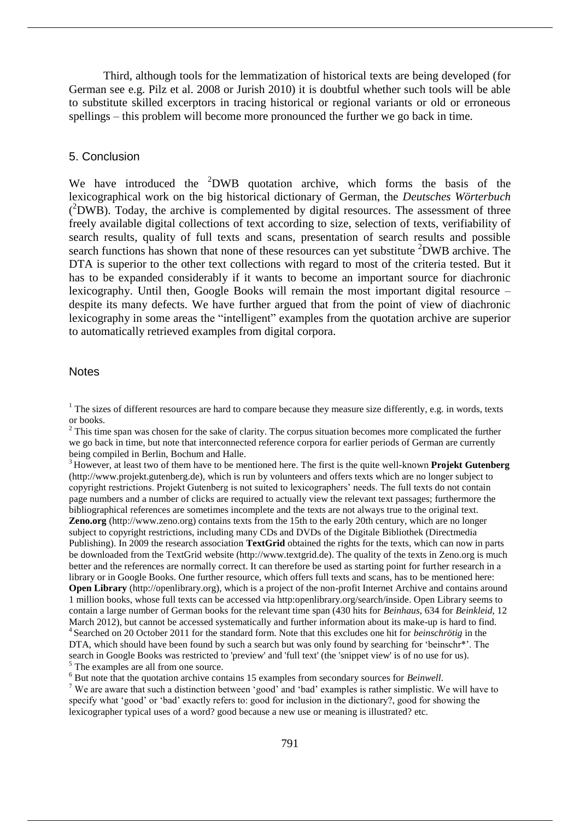Third, although tools for the lemmatization of historical texts are being developed (for German see e.g. Pilz et al. 2008 or Jurish 2010) it is doubtful whether such tools will be able to substitute skilled excerptors in tracing historical or regional variants or old or erroneous spellings – this problem will become more pronounced the further we go back in time.

# 5. Conclusion

We have introduced the <sup>2</sup>DWB quotation archive, which forms the basis of the lexicographical work on the big historical dictionary of German, the *Deutsches Wörterbuch*  $(^2$ DWB). Today, the archive is complemented by digital resources. The assessment of three freely available digital collections of text according to size, selection of texts, verifiability of search results, quality of full texts and scans, presentation of search results and possible search functions has shown that none of these resources can yet substitute <sup>2</sup>DWB archive. The DTA is superior to the other text collections with regard to most of the criteria tested. But it has to be expanded considerably if it wants to become an important source for diachronic lexicography. Until then, Google Books will remain the most important digital resource – despite its many defects. We have further argued that from the point of view of diachronic lexicography in some areas the "intelligent" examples from the quotation archive are superior to automatically retrieved examples from digital corpora.

#### **Notes**

 $1$  The sizes of different resources are hard to compare because they measure size differently, e.g. in words, texts or books.

<sup>2</sup> This time span was chosen for the sake of clarity. The corpus situation becomes more complicated the further we go back in time, but note that interconnected reference corpora for earlier periods of German are currently being compiled in Berlin, Bochum and Halle.

<sup>3</sup> However, at least two of them have to be mentioned here. The first is the quite well-known **Projekt Gutenberg** (http://www.projekt.gutenberg.de), which is run by volunteers and offers texts which are no longer subject to copyright restrictions. Projekt Gutenberg is not suited to lexicographers' needs. The full texts do not contain page numbers and a number of clicks are required to actually view the relevant text passages; furthermore the bibliographical references are sometimes incomplete and the texts are not always true to the original text. **Zeno.org** (http://www.zeno.org) contains texts from the 15th to the early 20th century, which are no longer subject to copyright restrictions, including many CDs and DVDs of the Digitale Bibliothek (Directmedia Publishing). In 2009 the research association **TextGrid** obtained the rights for the texts, which can now in parts be downloaded from the TextGrid website (http://www.textgrid.de). The quality of the texts in Zeno.org is much better and the references are normally correct. It can therefore be used as starting point for further research in a library or in Google Books. One further resource, which offers full texts and scans, has to be mentioned here: **Open Library** (http://openlibrary.org), which is a project of the non-profit Internet Archive and contains around 1 million books, whose full texts can be accessed via http:openlibrary.org/search/inside. Open Library seems to contain a large number of German books for the relevant time span (430 hits for *Beinhaus*, 634 for *Beinkleid*, 12 March 2012), but cannot be accessed systematically and further information about its make-up is hard to find. 4 Searched on 20 October 2011 for the standard form. Note that this excludes one hit for *beinschrötig* in the DTA, which should have been found by such a search but was only found by searching for 'beinschr\*'. The search in Google Books was restricted to 'preview' and 'full text' (the 'snippet view' is of no use for us). <sup>5</sup> The examples are all from one source.

<sup>6</sup> But note that the quotation archive contains 15 examples from secondary sources for *Beinwell*.

<sup>7</sup> We are aware that such a distinction between 'good' and 'bad' examples is rather simplistic. We will have to specify what 'good' or 'bad' exactly refers to: good for inclusion in the dictionary?, good for showing the lexicographer typical uses of a word? good because a new use or meaning is illustrated? etc.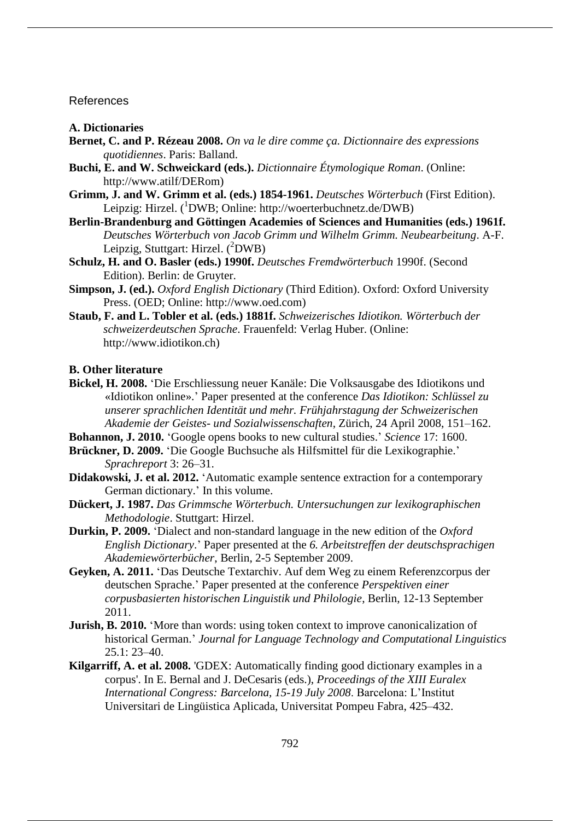## References

#### **A. Dictionaries**

- **Bernet, C. and P. Rézeau 2008.** *On va le dire comme ça. Dictionnaire des expressions quotidiennes*. Paris: Balland.
- **Buchi, E. and W. Schweickard (eds.).** *Dictionnaire Étymologique Roman*. (Online: http://www.atilf/DERom)
- **Grimm, J. and W. Grimm et al. (eds.) 1854-1961.** *Deutsches Wörterbuch* (First Edition). Leipzig: Hirzel.  $(^1$ DWB; Online: http://woerterbuchnetz.de/DWB)
- **Berlin-Brandenburg and Göttingen Academies of Sciences and Humanities (eds.) 1961f.** *Deutsches Wörterbuch von Jacob Grimm und Wilhelm Grimm. Neubearbeitung*. A-F. Leipzig, Stuttgart: Hirzel.  $(^{2}DWB)$
- **Schulz, H. and O. Basler (eds.) 1990f.** *Deutsches Fremdwörterbuch* 1990f. (Second Edition). Berlin: de Gruyter.
- **Simpson, J. (ed.).** *Oxford English Dictionary* (Third Edition). Oxford: Oxford University Press. (OED; Online: http://www.oed.com)
- **Staub, F. and L. Tobler et al. (eds.) 1881f.** *Schweizerisches Idiotikon. Wörterbuch der schweizerdeutschen Sprache*. Frauenfeld: Verlag Huber. (Online: http://www.idiotikon.ch)

# **B. Other literature**

- **Bickel, H. 2008.** 'Die Erschliessung neuer Kanäle: Die Volksausgabe des Idiotikons und «Idiotikon online».' Paper presented at the conference *Das Idiotikon: Schlüssel zu unserer sprachlichen Identität und mehr. Frühjahrstagung der Schweizerischen Akademie der Geistes- und Sozialwissenschaften*, Zürich, 24 April 2008, 151–162.
- **Bohannon, J. 2010.** 'Google opens books to new cultural studies.' *Science* 17: 1600.
- **Brückner, D. 2009.** 'Die Google Buchsuche als Hilfsmittel für die Lexikographie.' *Sprachreport* 3: 26–31.
- **Didakowski, J. et al. 2012.** 'Automatic example sentence extraction for a contemporary German dictionary.' In this volume.
- **Dückert, J. 1987.** *Das Grimmsche Wörterbuch. Untersuchungen zur lexikographischen Methodologie*. Stuttgart: Hirzel.
- **Durkin, P. 2009.** 'Dialect and non-standard language in the new edition of the *Oxford English Dictionary*.' Paper presented at the *6. Arbeitstreffen der deutschsprachigen Akademiewörterbücher*, Berlin, 2-5 September 2009.
- **Geyken, A. 2011.** 'Das Deutsche Textarchiv. Auf dem Weg zu einem Referenzcorpus der deutschen Sprache.' Paper presented at the conference *Perspektiven einer corpusbasierten historischen Linguistik und Philologie*, Berlin, 12-13 September 2011.
- **Jurish, B. 2010.** 'More than words: using token context to improve canonicalization of historical German.' *Journal for Language Technology and Computational Linguistics* 25.1: 23–40.
- **Kilgarriff, A. et al. 2008.** 'GDEX: Automatically finding good dictionary examples in a corpus'. In E. Bernal and J. DeCesaris (eds.), *Proceedings of the XIII Euralex International Congress: Barcelona, 15-19 July 2008*. Barcelona: L'Institut Universitari de Lingüistica Aplicada, Universitat Pompeu Fabra, 425–432.